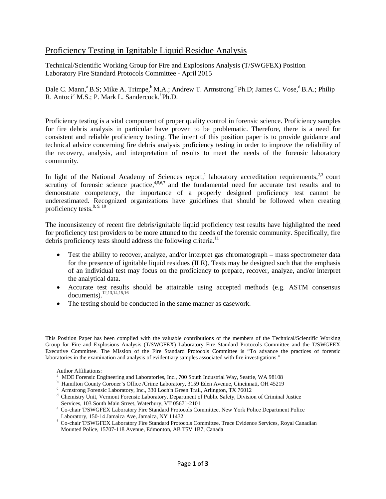## Proficiency Testing in Ignitable Liquid Residue Analysis

Technical/Scientific Working Group for Fire and Explosions Analysis (T/SWGFEX) Position Laboratory Fire Standard Protocols Committee - April 2015

Dale C. Mann,<sup>a</sup> B.S; Mike A. Trimpe,<sup>b</sup> M.A.; Andrew T. Armstrong<sup>,c</sup> Ph.D; James C. Vose,<sup>d</sup> B.A.; Philip R. Antoci $e^{i\theta}$  M.S.; P. Mark L. Sandercock.<sup>f</sup> Ph.D.

Proficiency testing is a vital component of proper quality control in forensic science. Proficiency samples for fire debris analysis in particular have proven to be problematic. Therefore, there is a need for consistent and reliable proficiency testing. The intent of this position paper is to provide guidance and technical advice concerning fire debris analysis proficiency testing in order to improve the reliability of the recovery, analysis, and interpretation of results to meet the needs of the forensic laboratory community.

In light of the National Academy of Sciences report,<sup>1</sup> laboratory accreditation requirements,<sup>2,3</sup> court scrutiny of forensic science practice, $4,5,6,7$  and the fundamental need for accurate test results and to demonstrate competency, the importance of a properly designed proficiency test cannot be underestimated. Recognized organizations have guidelines that should be followed when creating proficiency tests. $8, 9, 10$ 

The inconsistency of recent fire debris/ignitable liquid proficiency test results have highlighted the need for proficiency test providers to be more attuned to the needs of the forensic community. Specifically, fire debris proficiency tests should address the following criteria.<sup>11</sup>

- Test the ability to recover, analyze, and/or interpret gas chromatograph mass spectrometer data for the presence of ignitable liquid residues (ILR). Tests may be designed such that the emphasis of an individual test may focus on the proficiency to prepare, recover, analyze, and/or interpret the analytical data.
- Accurate test results should be attainable using accepted methods (e.g. ASTM consensus documents).12,13,14,15,16
- The testing should be conducted in the same manner as casework.

\_\_\_\_\_\_\_\_\_\_\_\_\_\_\_\_\_\_\_\_\_\_\_\_\_\_\_

This Position Paper has been complied with the valuable contributions of the members of the Technical/Scientific Working Group for Fire and Explosions Analysis (T/SWGFEX) Laboratory Fire Standard Protocols Committee and the T/SWGFEX Executive Committee. The Mission of the Fire Standard Protocols Committee is "To advance the practices of forensic laboratories in the examination and analysis of evidentiary samples associated with fire investigations."

Author Affiliations:<br><sup>a</sup> MDE Forensic Engineering and Laboratories, Inc., 700 South Industrial Way, Seattle, WA 98108

<sup>&</sup>lt;sup>b</sup> Hamilton County Coroner's Office /Crime Laboratory, 3159 Eden Avenue, Cincinnati, OH 45219<br>
<sup>c</sup> Armstrong Forensic Laboratory, Inc., 330 Loch'n Green Trail, Arlington, TX 76012<br>
<sup>d</sup> Chemistry Unit, Vermont Forensic La

 $\text{c}^e$  Co-chair T/SWGFEX Laboratory Fire Standard Protocols Committee. New York Police Department Police Laboratory, 150-14 Jamaica Ave, Jamaica, NY 11432

<sup>&</sup>lt;sup>f</sup> Co-chair T/SWGFEX Laboratory Fire Standard Protocols Committee. Trace Evidence Services, Royal Canadian Mounted Police, 15707-118 Avenue, Edmonton, AB T5V 1B7, Canada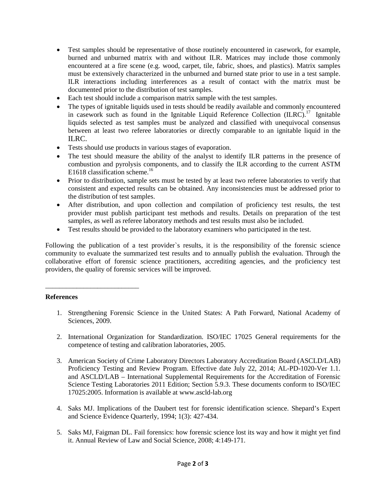- Test samples should be representative of those routinely encountered in casework, for example, burned and unburned matrix with and without ILR. Matrices may include those commonly encountered at a fire scene (e.g. wood, carpet, tile, fabric, shoes, and plastics). Matrix samples must be extensively characterized in the unburned and burned state prior to use in a test sample. ILR interactions including interferences as a result of contact with the matrix must be documented prior to the distribution of test samples.
- Each test should include a comparison matrix sample with the test samples.
- The types of ignitable liquids used in tests should be readily available and commonly encountered in casework such as found in the Ignitable Liquid Reference Collection  $(ILRC)^{17}$  Ignitable liquids selected as test samples must be analyzed and classified with unequivocal consensus between at least two referee laboratories or directly comparable to an ignitable liquid in the ILRC.
- Tests should use products in various stages of evaporation.
- The test should measure the ability of the analyst to identify ILR patterns in the presence of combustion and pyrolysis components, and to classify the ILR according to the current ASTM E1618 classification scheme.<sup>16</sup>
- Prior to distribution, sample sets must be tested by at least two referee laboratories to verify that consistent and expected results can be obtained. Any inconsistencies must be addressed prior to the distribution of test samples.
- After distribution, and upon collection and compilation of proficiency test results, the test provider must publish participant test methods and results. Details on preparation of the test samples, as well as referee laboratory methods and test results must also be included.
- Test results should be provided to the laboratory examiners who participated in the test.

Following the publication of a test provider`s results, it is the responsibility of the forensic science community to evaluate the summarized test results and to annually publish the evaluation. Through the collaborative effort of forensic science practitioners, accrediting agencies, and the proficiency test providers, the quality of forensic services will be improved.

## **References**

\_\_\_\_\_\_\_\_\_\_\_\_\_\_\_\_\_\_\_\_\_\_\_\_\_\_\_

- 1. Strengthening Forensic Science in the United States: A Path Forward, National Academy of Sciences, 2009.
- 2. International Organization for Standardization. ISO/IEC 17025 General requirements for the competence of testing and calibration laboratories, 2005.
- 3. American Society of Crime Laboratory Directors Laboratory Accreditation Board (ASCLD/LAB) Proficiency Testing and Review Program. Effective date July 22, 2014; AL-PD-1020-Ver 1.1. and ASCLD/LAB – International Supplemental Requirements for the Accreditation of Forensic Science Testing Laboratories 2011 Edition; Section 5.9.3. These documents conform to ISO/IEC 17025:2005. Information is available at www.ascld-lab.org
- 4. Saks MJ. Implications of the Daubert test for forensic identification science. Shepard's Expert and Science Evidence Quarterly, 1994; 1(3): 427-434.
- 5. Saks MJ, Faigman DL. Fail forensics: how forensic science lost its way and how it might yet find it. Annual Review of Law and Social Science, 2008; 4:149-171.